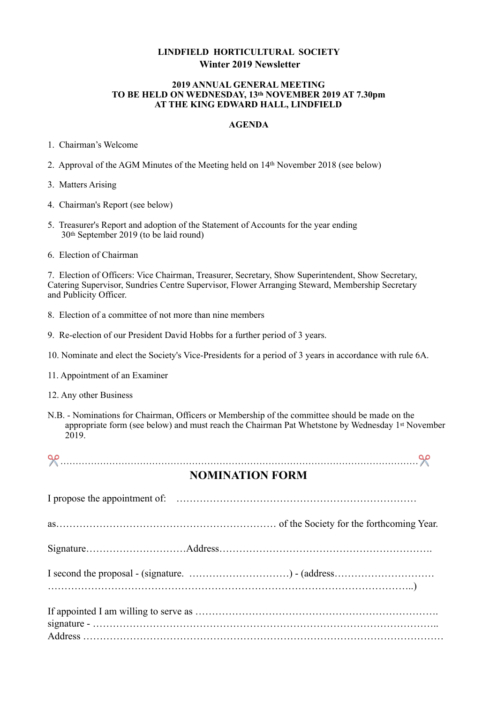## **LINDFIELD HORTICULTURAL SOCIETY Winter 2019 Newsletter**

#### **2019 ANNUAL GENERAL MEETING TO BE HELD ON WEDNESDAY, 13th NOVEMBER 2019 AT 7.30pm AT THE KING EDWARD HALL, LINDFIELD**

#### **AGENDA**

1. Chairman's Welcome

2. Approval of the AGM Minutes of the Meeting held on 14th November 2018 (see below)

3. Matters Arising

- 4. Chairman's Report (see below)
- 5. Treasurer's Report and adoption of the Statement of Accounts for the year ending 30th September 2019 (to be laid round)
- 6. Election of Chairman

7. Election of Officers: Vice Chairman, Treasurer, Secretary, Show Superintendent, Show Secretary, Catering Supervisor, Sundries Centre Supervisor, Flower Arranging Steward, Membership Secretary and Publicity Officer.

- 8. Election of a committee of not more than nine members
- 9. Re-election of our President David Hobbs for a further period of 3 years.
- 10. Nominate and elect the Society's Vice-Presidents for a period of 3 years in accordance with rule 6A.
- 11. Appointment of an Examiner
- 12. Any other Business
- N.B. Nominations for Chairman, Officers or Membership of the committee should be made on the appropriate form (see below) and must reach the Chairman Pat Whetstone by Wednesday 1st November 2019.

✂ ………………………………………………………………………………………………………✂

# **NOMINATION FORM**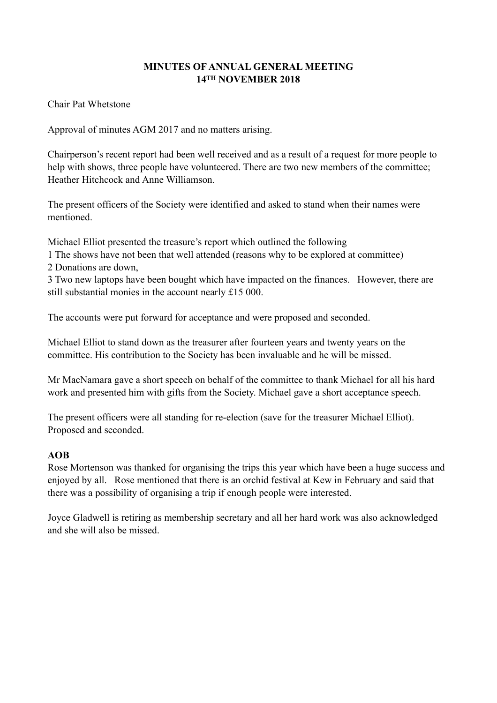## **MINUTES OF ANNUAL GENERAL MEETING 14TH NOVEMBER 2018**

Chair Pat Whetstone

Approval of minutes AGM 2017 and no matters arising.

Chairperson's recent report had been well received and as a result of a request for more people to help with shows, three people have volunteered. There are two new members of the committee; Heather Hitchcock and Anne Williamson.

The present officers of the Society were identified and asked to stand when their names were mentioned.

Michael Elliot presented the treasure's report which outlined the following

1 The shows have not been that well attended (reasons why to be explored at committee) 2 Donations are down,

3 Two new laptops have been bought which have impacted on the finances. However, there are still substantial monies in the account nearly £15 000.

The accounts were put forward for acceptance and were proposed and seconded.

Michael Elliot to stand down as the treasurer after fourteen years and twenty years on the committee. His contribution to the Society has been invaluable and he will be missed.

Mr MacNamara gave a short speech on behalf of the committee to thank Michael for all his hard work and presented him with gifts from the Society. Michael gave a short acceptance speech.

The present officers were all standing for re-election (save for the treasurer Michael Elliot). Proposed and seconded.

## **AOB**

Rose Mortenson was thanked for organising the trips this year which have been a huge success and enjoyed by all. Rose mentioned that there is an orchid festival at Kew in February and said that there was a possibility of organising a trip if enough people were interested.

Joyce Gladwell is retiring as membership secretary and all her hard work was also acknowledged and she will also be missed.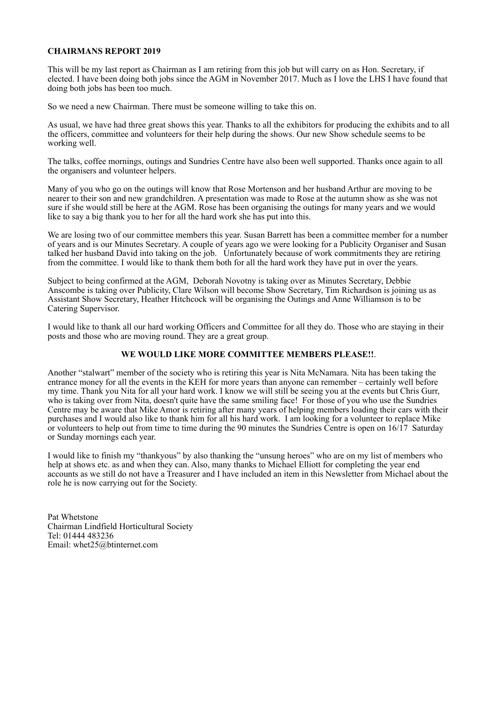#### **CHAIRMANS REPORT 2019**

This will be my last report as Chairman as I am retiring from this job but will carry on as Hon. Secretary, if elected. I have been doing both jobs since the AGM in November 2017. Much as I love the LHS I have found that doing both jobs has been too much.

So we need a new Chairman. There must be someone willing to take this on.

As usual, we have had three great shows this year. Thanks to all the exhibitors for producing the exhibits and to all the officers, committee and volunteers for their help during the shows. Our new Show schedule seems to be working well.

The talks, coffee mornings, outings and Sundries Centre have also been well supported. Thanks once again to all the organisers and volunteer helpers.

Many of you who go on the outings will know that Rose Mortenson and her husband Arthur are moving to be nearer to their son and new grandchildren. A presentation was made to Rose at the autumn show as she was not sure if she would still be here at the AGM. Rose has been organising the outings for many years and we would like to say a big thank you to her for all the hard work she has put into this.

We are losing two of our committee members this year. Susan Barrett has been a committee member for a number of years and is our Minutes Secretary. A couple of years ago we were looking for a Publicity Organiser and Susan talked her husband David into taking on the job. Unfortunately because of work commitments they are retiring from the committee. I would like to thank them both for all the hard work they have put in over the years.

Subject to being confirmed at the AGM, Deborah Novotny is taking over as Minutes Secretary, Debbie Anscombe is taking over Publicity, Clare Wilson will become Show Secretary, Tim Richardson is joining us as Assistant Show Secretary, Heather Hitchcock will be organising the Outings and Anne Williamson is to be Catering Supervisor.

I would like to thank all our hard working Officers and Committee for all they do. Those who are staying in their posts and those who are moving round. They are a great group.

#### **WE WOULD LIKE MORE COMMITTEE MEMBERS PLEASE!!**.

Another "stalwart" member of the society who is retiring this year is Nita McNamara. Nita has been taking the entrance money for all the events in the KEH for more years than anyone can remember – certainly well before my time. Thank you Nita for all your hard work. I know we will still be seeing you at the events but Chris Gurr, who is taking over from Nita, doesn't quite have the same smiling face! For those of you who use the Sundries Centre may be aware that Mike Amor is retiring after many years of helping members loading their cars with their purchases and I would also like to thank him for all his hard work. I am looking for a volunteer to replace Mike or volunteers to help out from time to time during the 90 minutes the Sundries Centre is open on 16/17 Saturday or Sunday mornings each year.

I would like to finish my "thankyous" by also thanking the "unsung heroes" who are on my list of members who help at shows etc. as and when they can. Also, many thanks to Michael Elliott for completing the year end accounts as we still do not have a Treasurer and I have included an item in this Newsletter from Michael about the role he is now carrying out for the Society.

Pat Whetstone Chairman Lindfield Horticultural Society Tel: 01444 483236 Email: whet25@btinternet.com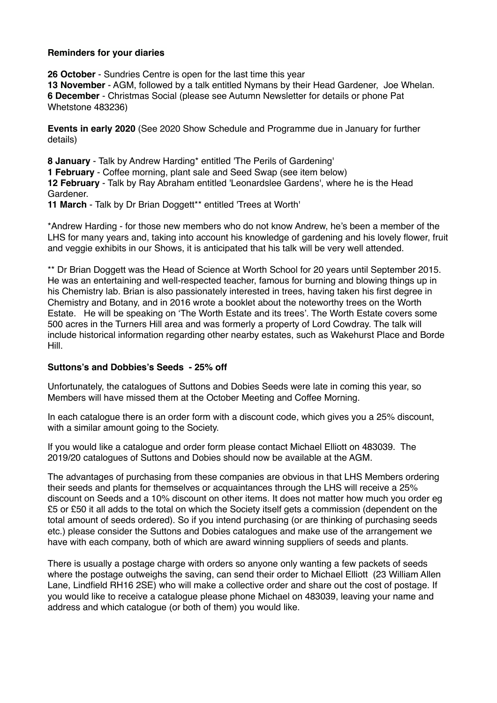### **Reminders for your diaries**

**26 October** - Sundries Centre is open for the last time this year **13 November** - AGM, followed by a talk entitled Nymans by their Head Gardener, Joe Whelan. **6 December** - Christmas Social (please see Autumn Newsletter for details or phone Pat Whetstone 483236)

**Events in early 2020** (See 2020 Show Schedule and Programme due in January for further details)

**8 January** - Talk by Andrew Harding\* entitled 'The Perils of Gardening' **1 February** - Coffee morning, plant sale and Seed Swap (see item below) **12 February** - Talk by Ray Abraham entitled 'Leonardslee Gardens', where he is the Head Gardener.

**11 March** - Talk by Dr Brian Doggett\*\* entitled 'Trees at Worth'

\*Andrew Harding - for those new members who do not know Andrew, he's been a member of the LHS for many years and, taking into account his knowledge of gardening and his lovely flower, fruit and veggie exhibits in our Shows, it is anticipated that his talk will be very well attended.

\*\* Dr Brian Doggett was the Head of Science at Worth School for 20 years until September 2015. He was an entertaining and well-respected teacher, famous for burning and blowing things up in his Chemistry lab. Brian is also passionately interested in trees, having taken his first degree in Chemistry and Botany, and in 2016 wrote a booklet about the noteworthy trees on the Worth Estate. He will be speaking on 'The Worth Estate and its trees'. The Worth Estate covers some 500 acres in the Turners Hill area and was formerly a property of Lord Cowdray. The talk will include historical information regarding other nearby estates, such as Wakehurst Place and Borde Hill.

### **Suttons's and Dobbies's Seeds - 25% off**

Unfortunately, the catalogues of Suttons and Dobies Seeds were late in coming this year, so Members will have missed them at the October Meeting and Coffee Morning.

In each catalogue there is an order form with a discount code, which gives you a 25% discount, with a similar amount going to the Society.

If you would like a catalogue and order form please contact Michael Elliott on 483039. The 2019/20 catalogues of Suttons and Dobies should now be available at the AGM.

The advantages of purchasing from these companies are obvious in that LHS Members ordering their seeds and plants for themselves or acquaintances through the LHS will receive a 25% discount on Seeds and a 10% discount on other items. It does not matter how much you order eg £5 or £50 it all adds to the total on which the Society itself gets a commission (dependent on the total amount of seeds ordered). So if you intend purchasing (or are thinking of purchasing seeds etc.) please consider the Suttons and Dobies catalogues and make use of the arrangement we have with each company, both of which are award winning suppliers of seeds and plants.

There is usually a postage charge with orders so anyone only wanting a few packets of seeds where the postage outweighs the saving, can send their order to Michael Elliott (23 William Allen Lane, Lindfield RH16 2SE) who will make a collective order and share out the cost of postage. If you would like to receive a catalogue please phone Michael on 483039, leaving your name and address and which catalogue (or both of them) you would like.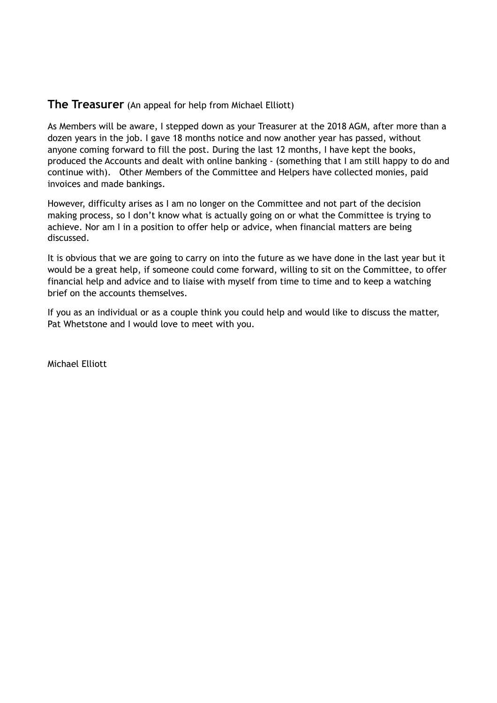# **The Treasurer** (An appeal for help from Michael Elliott)

As Members will be aware, I stepped down as your Treasurer at the 2018 AGM, after more than a dozen years in the job. I gave 18 months notice and now another year has passed, without anyone coming forward to fill the post. During the last 12 months, I have kept the books, produced the Accounts and dealt with online banking - (something that I am still happy to do and continue with). Other Members of the Committee and Helpers have collected monies, paid invoices and made bankings.

However, difficulty arises as I am no longer on the Committee and not part of the decision making process, so I don't know what is actually going on or what the Committee is trying to achieve. Nor am I in a position to offer help or advice, when financial matters are being discussed.

It is obvious that we are going to carry on into the future as we have done in the last year but it would be a great help, if someone could come forward, willing to sit on the Committee, to offer financial help and advice and to liaise with myself from time to time and to keep a watching brief on the accounts themselves.

If you as an individual or as a couple think you could help and would like to discuss the matter, Pat Whetstone and I would love to meet with you.

Michael Elliott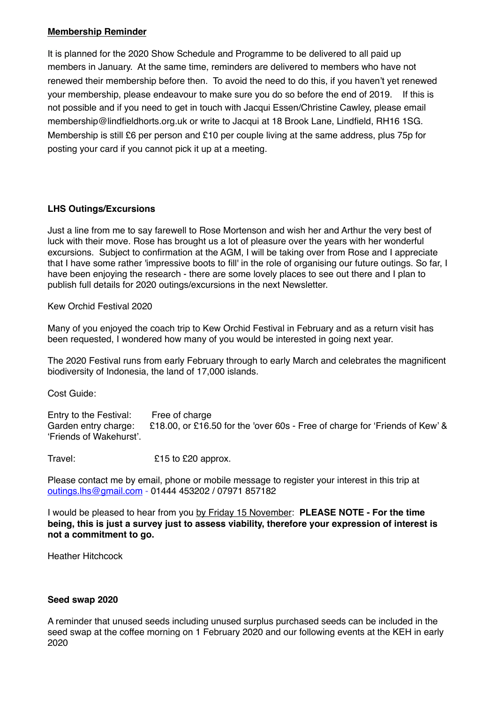### **Membership Reminder**

It is planned for the 2020 Show Schedule and Programme to be delivered to all paid up members in January. At the same time, reminders are delivered to members who have not renewed their membership before then. To avoid the need to do this, if you haven't yet renewed your membership, please endeavour to make sure you do so before the end of 2019. If this is not possible and if you need to get in touch with Jacqui Essen/Christine Cawley, please email membership@lindfieldhorts.org.uk or write to Jacqui at 18 Brook Lane, Lindfield, RH16 1SG. Membership is still £6 per person and £10 per couple living at the same address, plus 75p for posting your card if you cannot pick it up at a meeting.

## **LHS Outings/Excursions**

Just a line from me to say farewell to Rose Mortenson and wish her and Arthur the very best of luck with their move. Rose has brought us a lot of pleasure over the years with her wonderful excursions. Subject to confirmation at the AGM, I will be taking over from Rose and I appreciate that I have some rather 'impressive boots to fill' in the role of organising our future outings. So far, I have been enjoying the research - there are some lovely places to see out there and I plan to publish full details for 2020 outings/excursions in the next Newsletter.

Kew Orchid Festival 2020

Many of you enjoyed the coach trip to Kew Orchid Festival in February and as a return visit has been requested, I wondered how many of you would be interested in going next year.

The 2020 Festival runs from early February through to early March and celebrates the magnificent biodiversity of Indonesia, the land of 17,000 islands.

Cost Guide:

Entry to the Festival: Free of charge Garden entry charge: £18.00, or £16.50 for the 'over 60s - Free of charge for 'Friends of Kew' & 'Friends of Wakehurst'.

Travel: E15 to £20 approx.

Please contact me by email, phone or mobile message to register your interest in this trip at [outings.lhs@gmail.com](mailto:outings.lhs@gmail.com) - 01444 453202 / 07971 857182

I would be pleased to hear from you by Friday 15 November: **PLEASE NOTE - For the time being, this is just a survey just to assess viability, therefore your expression of interest is not a commitment to go.**

Heather Hitchcock

### **Seed swap 2020**

A reminder that unused seeds including unused surplus purchased seeds can be included in the seed swap at the coffee morning on 1 February 2020 and our following events at the KEH in early 2020